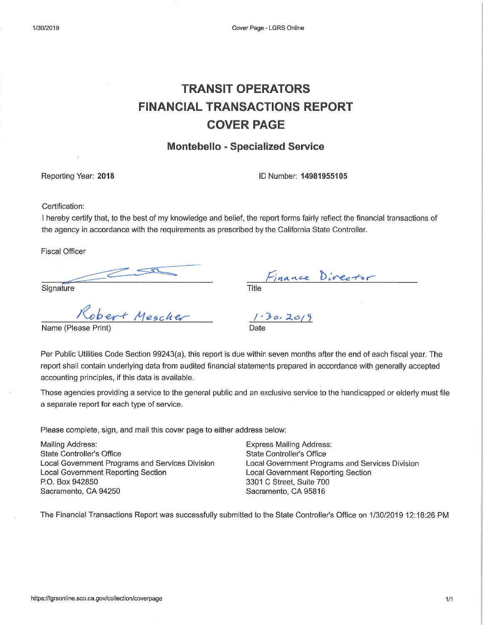# **TRANSIT OPERATORS FINANCIAL TRANSACTIONS REPORT COVER PAGE**

# **Montebello - Specialized Service**

Reporting Year: 2018

ID Number: 14981955105

Certification:

I hereby certify that, to the best of my knowledge and belief, the report forms fairly reflect the financial transactions of the agency in accordance with the requirements as prescribed by the California State Controller.

**Fiscal Officer** 

Signature

|       | Finance Director |  |
|-------|------------------|--|
| Title |                  |  |

 $1.30.20/9$ 

Robert Mescher

Name (Please Prin

Per Public Utilities Code Section 99243(a), this report is due within seven months after the end of each fiscal year. The report shall contain underlying data from audited financial statements prepared in accordance with generally accepted accounting principles, if this data is available.

Those agencies providing a service to the general public and an exclusive service to the handicapped or elderly must file a separate report for each type of service.

Please complete, sign, and mail this cover page to either address below:

**Mailing Address: State Controller's Office** Local Government Programs and Services Division **Local Government Reporting Section** P.O. Box 942850 Sacramento, CA 94250

**Express Mailing Address: State Controller's Office** Local Government Programs and Services Division **Local Government Reporting Section** 3301 C Street, Suite 700 Sacramento, CA 95816

The Financial Transactions Report was successfully submitted to the State Controller's Office on 1/30/2019 12:18:26 PM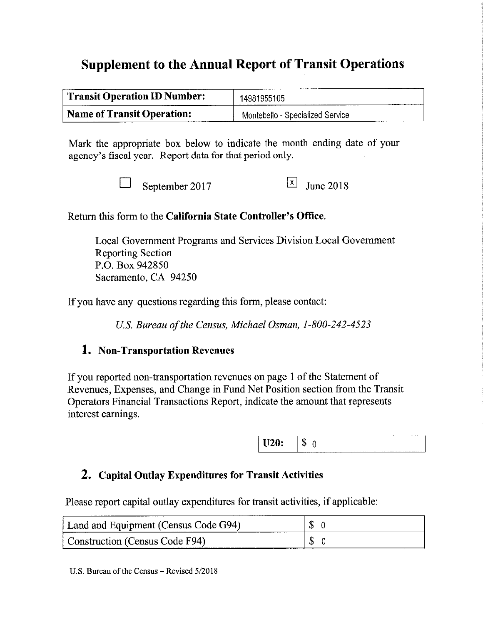# **Supplement to the Annual Report of Transit Operations**

| <b>Transit Operation ID Number:</b> | 14981955105                      |  |  |
|-------------------------------------|----------------------------------|--|--|
| <b>Name of Transit Operation:</b>   | Montebello - Specialized Service |  |  |

Mark the appropriate box below to indicate the month ending date of your agency's fiscal year. Report data for that period only.

September 2017

 $\vert x \vert$ **June 2018** 

Return this form to the California State Controller's Office.

Local Government Programs and Services Division Local Government **Reporting Section** P.O. Box 942850 Sacramento, CA 94250

If you have any questions regarding this form, please contact:

U.S. Bureau of the Census, Michael Osman, 1-800-242-4523

# 1. Non-Transportation Revenues

If you reported non-transportation revenues on page 1 of the Statement of Revenues, Expenses, and Change in Fund Net Position section from the Transit Operators Financial Transactions Report, indicate the amount that represents interest earnings.

# 2. Capital Outlay Expenditures for Transit Activities

Please report capital outlay expenditures for transit activities, if applicable:

| Land and Equipment (Census Code G94) | - 35. |
|--------------------------------------|-------|
| Construction (Census Code F94)       |       |

U.S. Bureau of the Census – Revised 5/2018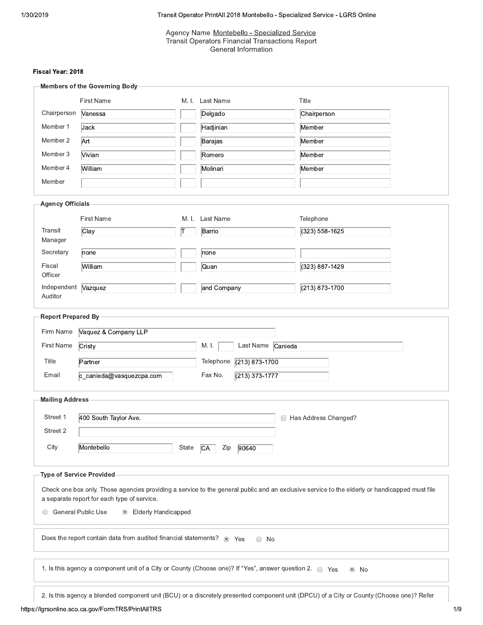Agency Name Montebello - Specialized Service<br>Transit Operators Financial Transactions Report<br>General Information

### Fiscal Year: 2018

|                         | <b>Members of the Governing Body</b>                                                                         |       |                                 |                                                                                                                                               |  |
|-------------------------|--------------------------------------------------------------------------------------------------------------|-------|---------------------------------|-----------------------------------------------------------------------------------------------------------------------------------------------|--|
|                         | <b>First Name</b>                                                                                            |       | M. I. Last Name                 | Title                                                                                                                                         |  |
| Chairperson             | Vanessa                                                                                                      |       | Delgado                         | Chairperson                                                                                                                                   |  |
| Member 1                | Jack                                                                                                         |       | Hadjinian                       | Member                                                                                                                                        |  |
| Member 2                | Art                                                                                                          |       | Barajas                         | Member                                                                                                                                        |  |
| Member 3                | Vivian                                                                                                       |       | Romero                          | Member                                                                                                                                        |  |
| Member 4                | William                                                                                                      |       | Molinari                        | Member                                                                                                                                        |  |
| Member                  |                                                                                                              |       |                                 |                                                                                                                                               |  |
| <b>Agency Officials</b> |                                                                                                              |       |                                 |                                                                                                                                               |  |
|                         | <b>First Name</b>                                                                                            | M. I. | Last Name                       | Telephone                                                                                                                                     |  |
| Transit<br>Manager      | $\overline{\text{Clay}}$                                                                                     | Τ     | Barrio                          | (323) 558-1625                                                                                                                                |  |
| Secretary               | none                                                                                                         |       | none                            |                                                                                                                                               |  |
| Fiscal<br>Officer       | William                                                                                                      |       | Quan                            | (323) 887-1429                                                                                                                                |  |
| Independent<br>Auditor  | Vazquez                                                                                                      |       | and Company                     | (213) 873-1700                                                                                                                                |  |
|                         |                                                                                                              |       |                                 |                                                                                                                                               |  |
| Report Prepared By      |                                                                                                              |       |                                 |                                                                                                                                               |  |
| Firm Name               | Vaquez & Company LLP                                                                                         |       |                                 |                                                                                                                                               |  |
| First Name              | Cristy                                                                                                       |       | M. I.<br>Last Name Canieda      |                                                                                                                                               |  |
| Title                   | Partner                                                                                                      |       | Telephone<br>$(213) 873 - 1700$ |                                                                                                                                               |  |
| Email                   | c_canieda@vasquezcpa.com                                                                                     |       | Fax No.<br>$(213)$ 373-1777     |                                                                                                                                               |  |
| <b>Mailing Address</b>  |                                                                                                              |       |                                 |                                                                                                                                               |  |
| Street 1                | 400 South Taylor Ave.                                                                                        |       |                                 | Has Address Changed?<br>□                                                                                                                     |  |
| Street 2                |                                                                                                              |       |                                 |                                                                                                                                               |  |
| City                    | Montebello                                                                                                   | State | Zip<br>90640<br><b>CA</b>       |                                                                                                                                               |  |
|                         | <b>Type of Service Provided</b>                                                                              |       |                                 |                                                                                                                                               |  |
|                         |                                                                                                              |       |                                 |                                                                                                                                               |  |
|                         | a separate report for each type of service.                                                                  |       |                                 | Check one box only. Those agencies providing a service to the general public and an exclusive service to the elderly or handicapped must file |  |
| 0                       | <b>General Public Use</b><br><b>Elderly Handicapped</b><br>$\circledcirc$                                    |       |                                 |                                                                                                                                               |  |
|                         | Does the report contain data from audited financial statements? • Yes                                        |       | $\circ$ No                      |                                                                                                                                               |  |
|                         | 1. Is this agency a component unit of a City or County (Choose one)? If "Yes", answer question 2.<br>See Yes |       |                                 | $^{\circ}$<br>No                                                                                                                              |  |
|                         |                                                                                                              |       |                                 |                                                                                                                                               |  |
|                         |                                                                                                              |       |                                 | 2. Is this agency a blended component unit (BCU) or a discretely presented component unit (DPCU) of a City or County (Choose one)? Refer      |  |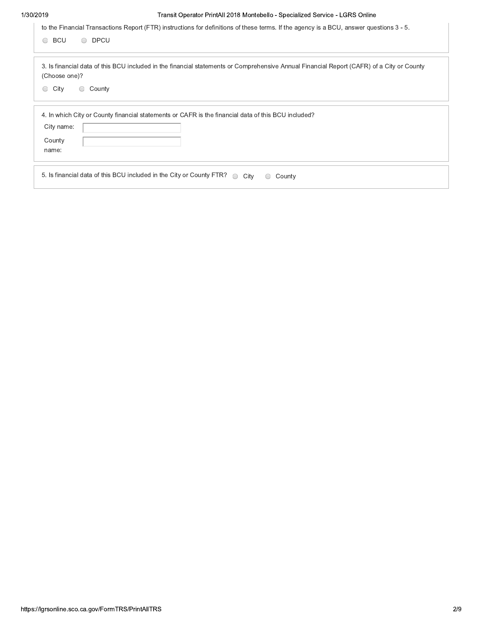| <b>BCU</b><br>$\bigcirc$                  | to the Financial Transactions Report (FTR) instructions for definitions of these terms. If the agency is a BCU, answer questions 3 - 5.<br><b>DPCU</b><br>$\bigcirc$ |
|-------------------------------------------|----------------------------------------------------------------------------------------------------------------------------------------------------------------------|
|                                           |                                                                                                                                                                      |
| (Choose one)?                             | 3. Is financial data of this BCU included in the financial statements or Comprehensive Annual Financial Report (CAFR) of a City or County                            |
| City<br>$\bigcirc$<br>$\circlearrowright$ | County                                                                                                                                                               |
|                                           | 4. In which City or County financial statements or CAFR is the financial data of this BCU included?                                                                  |
| City name:                                |                                                                                                                                                                      |
| County<br>name:                           |                                                                                                                                                                      |
|                                           | 5. Is financial data of this BCU included in the City or County FTR?<br>City<br>County<br>$\bigcirc$                                                                 |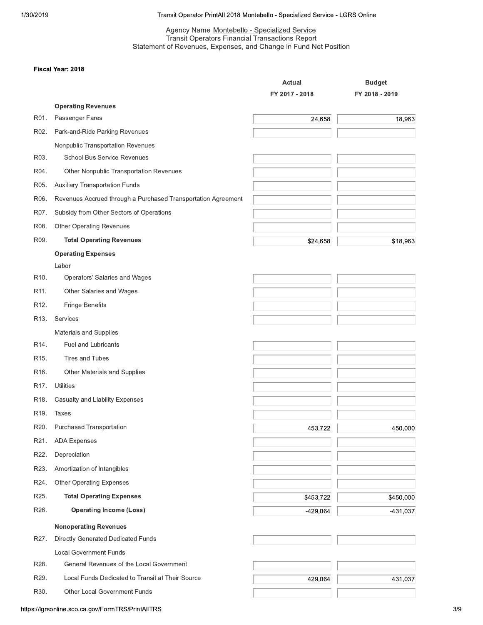### Transit Operator PrintAll 2018 Montebello - Specialized Service - LGRS Online

# Agency Name Montebello - Specialized Service<br>Transit Operators Financial Transactions Report<br>Statement of Revenues, Expenses, and Change in Fund Net Position

#### Fiscal Year: 2018

|                   |                                                               | <b>Actual</b>  | <b>Budget</b>  |
|-------------------|---------------------------------------------------------------|----------------|----------------|
|                   |                                                               | FY 2017 - 2018 | FY 2018 - 2019 |
|                   | <b>Operating Revenues</b>                                     |                |                |
| R01.              | Passenger Fares                                               | 24,658         | 18,963         |
| R02.              | Park-and-Ride Parking Revenues                                |                |                |
|                   | Nonpublic Transportation Revenues                             |                |                |
| R03.              | <b>School Bus Service Revenues</b>                            |                |                |
| R04.              | Other Nonpublic Transportation Revenues                       |                |                |
| R05.              | <b>Auxiliary Transportation Funds</b>                         |                |                |
| R06.              | Revenues Accrued through a Purchased Transportation Agreement |                |                |
| R07.              | Subsidy from Other Sectors of Operations                      |                |                |
| R08.              | <b>Other Operating Revenues</b>                               |                |                |
| R09.              | <b>Total Operating Revenues</b>                               | \$24,658       | \$18,963       |
|                   | <b>Operating Expenses</b>                                     |                |                |
|                   | Labor                                                         |                |                |
| R <sub>10</sub> . | Operators' Salaries and Wages                                 |                |                |
| R11.              | Other Salaries and Wages                                      |                |                |
| R <sub>12</sub> . | Fringe Benefits                                               |                |                |
| R <sub>13</sub> . | Services                                                      |                |                |
|                   | Materials and Supplies                                        |                |                |
| R <sub>14</sub> . | <b>Fuel and Lubricants</b>                                    |                |                |
| R <sub>15</sub> . | Tires and Tubes                                               |                |                |
| R <sub>16</sub> . | Other Materials and Supplies                                  |                |                |
| R <sub>17</sub> . | Utilities                                                     |                |                |
| R <sub>18</sub> . | Casualty and Liability Expenses                               |                |                |
| R <sub>19</sub> . | <b>Taxes</b>                                                  |                |                |
| R20.              | Purchased Transportation                                      | 453,722        | 450,000        |
| R21.              | <b>ADA Expenses</b>                                           |                |                |
| R22.              | Depreciation                                                  |                |                |
| R23.              | Amortization of Intangibles                                   |                |                |
| R24.              | <b>Other Operating Expenses</b>                               |                |                |
| R25.              | <b>Total Operating Expenses</b>                               | \$453,722      | \$450,000      |
| R26.              | <b>Operating Income (Loss)</b>                                | $-429,064$     | $-431,037$     |
|                   | <b>Nonoperating Revenues</b>                                  |                |                |
| R27.              | Directly Generated Dedicated Funds                            |                |                |
|                   | <b>Local Government Funds</b>                                 |                |                |
| R28.              | General Revenues of the Local Government                      |                |                |
| R29.              | Local Funds Dedicated to Transit at Their Source              | 429,064        | 431,037        |
| R30.              | Other Local Government Funds                                  |                |                |
|                   |                                                               |                |                |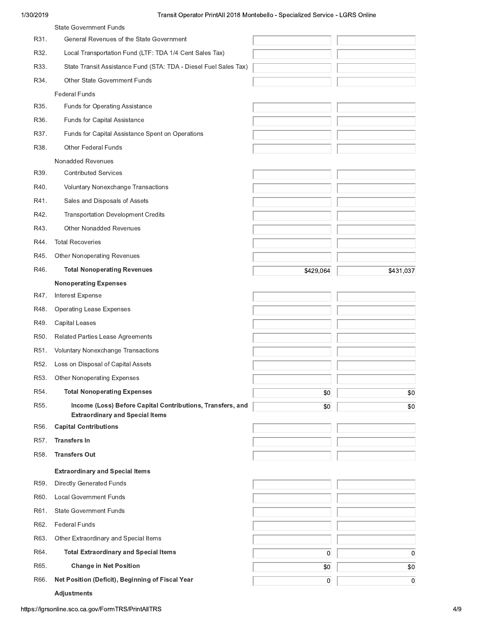|      | <b>State Government Funds</b>                                                                        |           |           |
|------|------------------------------------------------------------------------------------------------------|-----------|-----------|
| R31. | General Revenues of the State Government                                                             |           |           |
| R32. | Local Transportation Fund (LTF: TDA 1/4 Cent Sales Tax)                                              |           |           |
| R33. | State Transit Assistance Fund (STA: TDA - Diesel Fuel Sales Tax)                                     |           |           |
| R34. | Other State Government Funds                                                                         |           |           |
|      | <b>Federal Funds</b>                                                                                 |           |           |
| R35. | Funds for Operating Assistance                                                                       |           |           |
| R36. | Funds for Capital Assistance                                                                         |           |           |
| R37. | Funds for Capital Assistance Spent on Operations                                                     |           |           |
| R38. | <b>Other Federal Funds</b>                                                                           |           |           |
|      | Nonadded Revenues                                                                                    |           |           |
| R39. | <b>Contributed Services</b>                                                                          |           |           |
| R40. | Voluntary Nonexchange Transactions                                                                   |           |           |
| R41. | Sales and Disposals of Assets                                                                        |           |           |
| R42. | <b>Transportation Development Credits</b>                                                            |           |           |
| R43. | <b>Other Nonadded Revenues</b>                                                                       |           |           |
| R44. | <b>Total Recoveries</b>                                                                              |           |           |
| R45. | <b>Other Nonoperating Revenues</b>                                                                   |           |           |
| R46. | <b>Total Nonoperating Revenues</b>                                                                   | \$429,064 | \$431,037 |
|      | <b>Nonoperating Expenses</b>                                                                         |           |           |
| R47. | Interest Expense                                                                                     |           |           |
| R48. | <b>Operating Lease Expenses</b>                                                                      |           |           |
| R49. | <b>Capital Leases</b>                                                                                |           |           |
| R50. | Related Parties Lease Agreements                                                                     |           |           |
| R51. | Voluntary Nonexchange Transactions                                                                   |           |           |
| R52. | Loss on Disposal of Capital Assets                                                                   |           |           |
| R53. | <b>Other Nonoperating Expenses</b>                                                                   |           |           |
| R54. | <b>Total Nonoperating Expenses</b>                                                                   | \$0       | \$0       |
| R55. | Income (Loss) Before Capital Contributions, Transfers, and<br><b>Extraordinary and Special Items</b> | \$0       | \$0       |
| R56. | <b>Capital Contributions</b>                                                                         |           |           |
| R57. | <b>Transfers In</b>                                                                                  |           |           |
| R58. | <b>Transfers Out</b>                                                                                 |           |           |
|      | <b>Extraordinary and Special Items</b>                                                               |           |           |
| R59. | <b>Directly Generated Funds</b>                                                                      |           |           |
| R60. | <b>Local Government Funds</b>                                                                        |           |           |
| R61. | <b>State Government Funds</b>                                                                        |           |           |
| R62. | <b>Federal Funds</b>                                                                                 |           |           |
| R63. | Other Extraordinary and Special Items                                                                |           |           |
|      |                                                                                                      |           |           |
| R64. | <b>Total Extraordinary and Special Items</b>                                                         | 0         | 0         |
| R65. | <b>Change in Net Position</b>                                                                        | \$0       | \$0       |
| R66. | Net Position (Deficit), Beginning of Fiscal Year                                                     | 0         | 0         |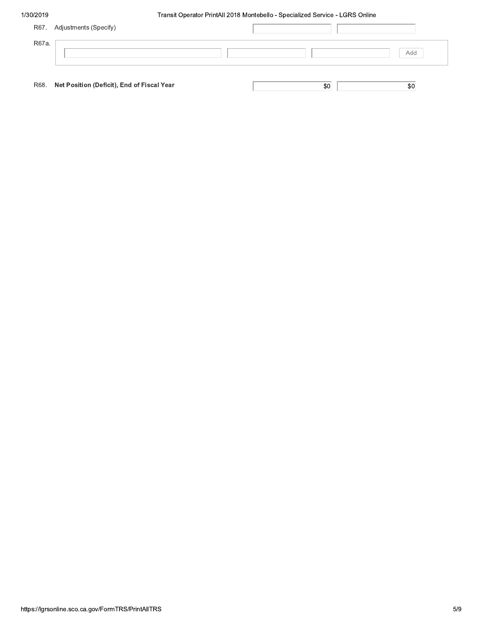|       | R67. Adjustments (Specify)                      |  |     |     |
|-------|-------------------------------------------------|--|-----|-----|
| R67a. |                                                 |  |     |     |
|       |                                                 |  |     | Add |
|       |                                                 |  |     |     |
|       | R68. Net Position (Deficit), End of Fiscal Year |  | \$0 | \$0 |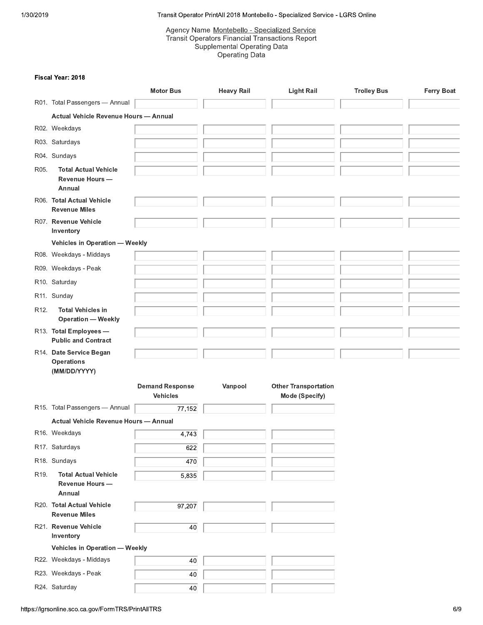# Agency Name <u>Montebello - Specialized Service</u><br>———————————————————— Transit Operator PrintAll 2018 Montebello<br>
Agency Name <u>Montebello - Speci</u><br>
Transit Operators Financial Trans<br>
Supplemental Operating<br>
Operating Data<br>
Motor Bus<br>
Heavy Rail Transit Operators Financial Transactions Report  $\tan$  Operating Data Operating Data

#### Fiscal Year: 2018

|                   |                                                              |                                           | Agency Name Montebello - Specialized Service<br><b>Transit Operators Financial Transactions Report</b><br><b>Supplemental Operating Data</b><br><b>Operating Data</b> |                                               |                    |                   |
|-------------------|--------------------------------------------------------------|-------------------------------------------|-----------------------------------------------------------------------------------------------------------------------------------------------------------------------|-----------------------------------------------|--------------------|-------------------|
|                   | Fiscal Year: 2018                                            |                                           |                                                                                                                                                                       |                                               |                    |                   |
|                   |                                                              | <b>Motor Bus</b>                          | <b>Heavy Rail</b>                                                                                                                                                     | <b>Light Rail</b>                             | <b>Trolley Bus</b> | <b>Ferry Boat</b> |
|                   | R01. Total Passengers - Annual                               |                                           |                                                                                                                                                                       |                                               |                    |                   |
|                   | <b>Actual Vehicle Revenue Hours - Annual</b>                 |                                           |                                                                                                                                                                       |                                               |                    |                   |
|                   | R02. Weekdays                                                |                                           |                                                                                                                                                                       |                                               |                    |                   |
|                   | R03. Saturdays                                               |                                           |                                                                                                                                                                       |                                               |                    |                   |
|                   | R04. Sundays                                                 |                                           |                                                                                                                                                                       |                                               |                    |                   |
| R05.              | <b>Total Actual Vehicle</b><br><b>Revenue Hours -</b>        |                                           |                                                                                                                                                                       |                                               |                    |                   |
|                   | Annual<br>R06. Total Actual Vehicle<br><b>Revenue Miles</b>  |                                           |                                                                                                                                                                       |                                               |                    |                   |
|                   | R07. Revenue Vehicle<br>Inventory                            |                                           |                                                                                                                                                                       |                                               |                    |                   |
|                   | Vehicles in Operation - Weekly                               |                                           |                                                                                                                                                                       |                                               |                    |                   |
|                   | R08. Weekdays - Middays                                      |                                           |                                                                                                                                                                       |                                               |                    |                   |
|                   | R09. Weekdays - Peak                                         |                                           |                                                                                                                                                                       |                                               |                    |                   |
|                   | R10. Saturday                                                |                                           |                                                                                                                                                                       |                                               |                    |                   |
|                   | R11. Sunday                                                  |                                           |                                                                                                                                                                       |                                               |                    |                   |
| R <sub>12</sub> . | <b>Total Vehicles in</b><br><b>Operation - Weekly</b>        |                                           |                                                                                                                                                                       |                                               |                    |                   |
|                   | R13. Total Employees -<br><b>Public and Contract</b>         |                                           |                                                                                                                                                                       |                                               |                    |                   |
|                   | R14. Date Service Began<br><b>Operations</b><br>(MM/DD/YYYY) |                                           |                                                                                                                                                                       |                                               |                    |                   |
|                   |                                                              | <b>Demand Response</b><br><b>Vehicles</b> | Vanpool                                                                                                                                                               | <b>Other Transportation</b><br>Mode (Specify) |                    |                   |
|                   | R15. Total Passengers - Annual                               | 77,152                                    |                                                                                                                                                                       |                                               |                    |                   |
|                   | <b>Actual Vehicle Revenue Hours - Annual</b>                 |                                           |                                                                                                                                                                       |                                               |                    |                   |
|                   | R16. Weekdays                                                | 4,743                                     |                                                                                                                                                                       |                                               |                    |                   |
|                   | R17. Saturdays                                               | 622                                       |                                                                                                                                                                       |                                               |                    |                   |
|                   | R18. Sundays                                                 | 470                                       |                                                                                                                                                                       |                                               |                    |                   |
| R <sub>19</sub> . | <b>Total Actual Vehicle</b><br>Revenue Hours -<br>Annual     | 5,835                                     |                                                                                                                                                                       |                                               |                    |                   |
|                   | R20. Total Actual Vehicle<br><b>Revenue Miles</b>            | 97,207                                    |                                                                                                                                                                       |                                               |                    |                   |
|                   | R21. Revenue Vehicle<br>Inventory                            | 40                                        |                                                                                                                                                                       |                                               |                    |                   |
|                   | <b>Vehicles in Operation - Weekly</b>                        |                                           |                                                                                                                                                                       |                                               |                    |                   |
|                   | R22. Weekdays - Middays                                      | 40                                        |                                                                                                                                                                       |                                               |                    |                   |
|                   | R23. Weekdays - Peak                                         | 40                                        |                                                                                                                                                                       |                                               |                    |                   |
|                   | R24. Saturday                                                | 40                                        |                                                                                                                                                                       |                                               |                    |                   |
|                   | s://lgrsonline.sco.ca.gov/FormTRS/PrintAllTRS                |                                           |                                                                                                                                                                       |                                               |                    | 6/9               |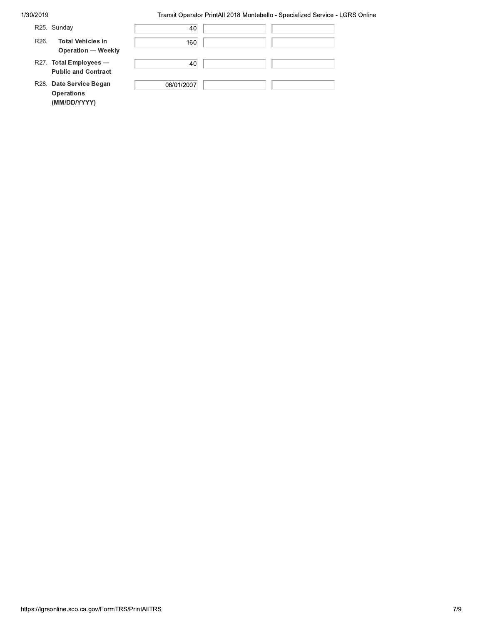| R25. Sunday                                                                | 40         |  |
|----------------------------------------------------------------------------|------------|--|
| <b>Total Vehicles in</b><br>R <sub>26</sub> .<br><b>Operation - Weekly</b> | 160        |  |
| R27. Total Employees -<br><b>Public and Contract</b>                       | 40         |  |
| R28. Date Service Began<br><b>Operations</b><br>(MM/DD/YYYY)               | 06/01/2007 |  |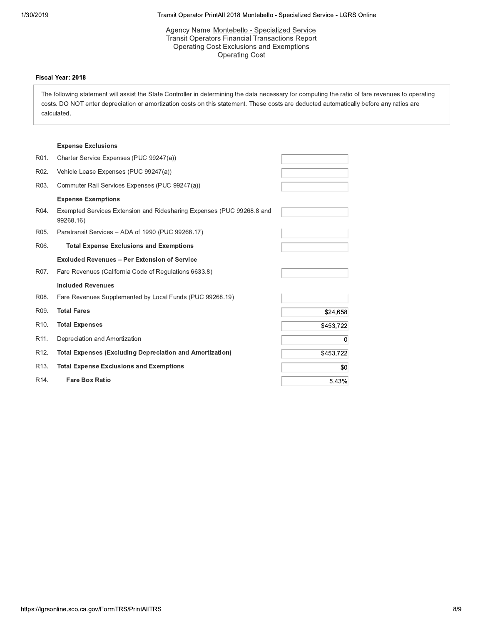sit Operator PrintAli 2018 Montebello - Specialized Service - LGRS Online

# Agency Name <u>Montebello - Specialized Service</u><br>———————————————————— Transit Operator PrintAll 2018 Montebello<br>
Agency Name <u>Montebello - Speci</u><br>
Transit Operators Financial Trans<br>
Operating Cost Exclusions and<br>
Operating Cost<br>
is the State Controller in determining the data necessions Transit Operators Financial Transactions Report Operating Cost Exclusions and Exemptions Operating Cost

#### Fiscal Year: 2018

ntAll 2018 Montebello - Specialized Service - LGRS<br>Montebello - Specialized Service<br>prises Financial Transactions Report<br>post Exclusions and Exemptions<br>Operating Cost<br>mining the data necessary for computing the ratio of<br>s The following statement will assist the State Controller in determining the data necessary for computing the ratio of fare revenues to operating Fiscal Year: 2018<br>
The following statement will assist the Statement<br>
costs. DO NOT enter depreciation or amo<br>
calculated.<br>
Expense Exclusions<br>
R01. Charter Service Expenses (PUC 99) Transit Operators Financial Transace<br>
Operating Cost Exclusions and E.<br>
Operating Cost<br>
tate Controller in determining the data necess<br>
ortization costs on this statement. These cos<br>
Agos 19247(a) rial Transactions Report<br>
ions and Exemptions<br>
Ig Cost<br>
edata necessary for computing the ratio of fart<br>
It. These costs are deducted automatically be costs. DO NOT enter depreciation or amortization costs on this statement. These costs are deducted automatically before any ratios are Operating C<br>
atement will assist the State Controller in deterformed and the State Controller in determed and the State Controller in determined and the State Controller in the State Controller and State Controller State C "

' ions and Exemptions<br>g Cost<br>data necessary for computing the ratio of fare revenues<br>t. These costs are deducted automatically before any rationally<br>define any rational control of the set of the set of the set of the set of calculated.

#### **Expense Exclusions**

|                   | <b>Expense Exclusions</b>                                                          |           |
|-------------------|------------------------------------------------------------------------------------|-----------|
| R01.              | Charter Service Expenses (PUC 99247(a))                                            |           |
| R02.              | Vehicle Lease Expenses (PUC 99247(a))                                              |           |
| R03.              | Commuter Rail Services Expenses (PUC 99247(a))                                     |           |
|                   | <b>Expense Exemptions</b>                                                          |           |
| R04.              | Exempted Services Extension and Ridesharing Expenses (PUC 99268.8 and<br>99268.16) |           |
| R05.              | Paratransit Services - ADA of 1990 (PUC 99268.17)                                  |           |
| R06.              | <b>Total Expense Exclusions and Exemptions</b>                                     |           |
|                   | <b>Excluded Revenues - Per Extension of Service</b>                                |           |
| R07.              | Fare Revenues (California Code of Regulations 6633.8)                              |           |
|                   | <b>Included Revenues</b>                                                           |           |
| R08.              | Fare Revenues Supplemented by Local Funds (PUC 99268.19)                           |           |
| R09.              | <b>Total Fares</b>                                                                 | \$24,658  |
| R <sub>10</sub> . | <b>Total Expenses</b>                                                              | \$453,722 |
| R <sub>11</sub> . | Depreciation and Amortization                                                      | $\Omega$  |
| R <sub>12</sub> . | <b>Total Expenses (Excluding Depreciation and Amortization)</b>                    | \$453,722 |
| R <sub>13</sub> . | <b>Total Expense Exclusions and Exemptions</b>                                     | \$0       |
| R <sub>14</sub> . | <b>Fare Box Ratio</b>                                                              | 5.43%     |